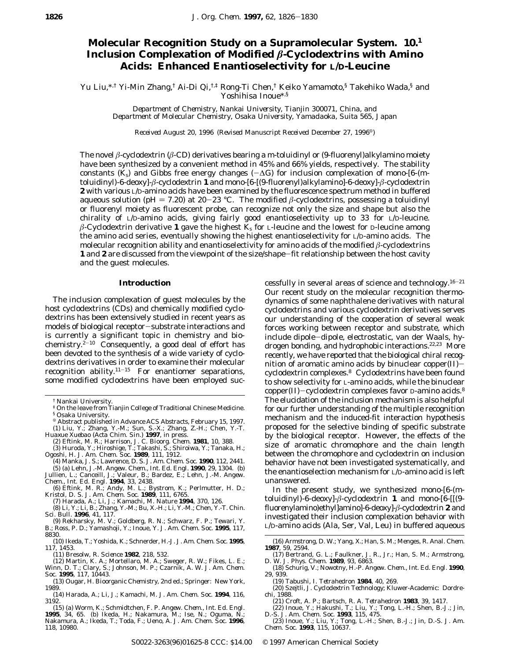## **Molecular Recognition Study on a Supramolecular System. 10.1 Inclusion Complexation of Modified** *â***-Cyclodextrins with Amino Acids: Enhanced Enantioselectivity for L/D-Leucine**

Yu Liu,\*,† Yi-Min Zhang,† Ai-Di Qi,†.‡ Rong-Ti Chen,† Keiko Yamamoto,§ Takehiko Wada,§ and Yoshihisa Inoue\*,§

*Department of Chemistry, Nankai University, Tianjin 300071, China, and Department of Molecular Chemistry, Osaka University, Yamadaoka, Suita 565, Japan*

*Received August 20, 1996 (Revised Manuscript Received December 27, 1996<sup>®</sup>)* 

The novel *â*-cyclodextrin (*â*-CD) derivatives bearing a *m*-toluidinyl or (9-fluorenyl)alkylamino moiety have been synthesized by a convenient method in 45% and 66% yields, respectively. The stability constants ( $K_s$ ) and Gibbs free energy changes ( $-\Delta G$ ) for inclusion complexation of mono-[6-(*m*toluidinyl)-6-deoxy]-*â*-cyclodextrin **1** and mono-[6-[(9-fluorenyl)alkylamino]-6-deoxy]-*â*-cyclodextrin **2** with various L/D-amino acids have been examined by the fluorescence spectrum method in buffered aqueous solution (pH = 7.20) at 20-23 °C. The modified  $\beta$ -cyclodextrins, possessing a toluidinyl or fluorenyl moiety as fluorescent probe, can recognize not only the size and shape but also the chirality of L/D-amino acids, giving fairly good enantioselectivity up to 33 for L/D-leucine. *â*-Cyclodextrin derivative **1** gave the highest *K*<sup>s</sup> for L-leucine and the lowest for D-leucine among the amino acid series, eventually showing the highest enantioselectivity for L/D-amino acids. The molecular recognition ability and enantioselectivity for amino acids of the modified *â*-cyclodextrins **1** and **2** are discussed from the viewpoint of the size/shape-fit relationship between the host cavity and the guest molecules.

## **Introduction**

The inclusion complexation of guest molecules by the host cyclodextrins (CDs) and chemically modified cyclodextrins has been extensively studied in recent years as models of biological receptor-substrate interactions and is currently a significant topic in chemistry and biochemistry. $2^{-10}$  Consequently, a good deal of effort has been devoted to the synthesis of a wide variety of cyclodextrins derivatives in order to examine their molecular recognition ability. $11-15$  For enantiomer separations, some modified cyclodextrins have been employed suc-

<sup>X</sup> Abstract published in *Advance ACS Abstracts,* February 15, 1997. (1) Liu, Y.; Zhang, Y.-M.; Sun, S.-X.; Zhang, Z.-H.; Chen, Y.-T. *Huaxue Xuebao (Acta Chim*. *Sin*.*)* **1997**, in press.

(2) Eftink, M. R.; Harrison, J. C. *Bioorg. Chem.* **1981**, *10*, 388.<br>(3) Huroda, Y.; Hiroshige, T.; Takashi, S.; Shiroiwa, Y.; Tanaka, H.;<br>Ogoshi, H. *J. Am. Chem. Soc.* **1989**, *111*, 1912.

(4) Manka, J. S.; Lawrence, D. S. *J*. *Am*. *Chem*. *Soc*. **1990**, *112*, 2441.

(5) (a) Lehn, J.-M. *Angew*. *Chem*.*, Int*. *Ed*. *Engl*. **1990**, *29*, 1304. (b) Jullien, L.; Canceill, J.; Valeur, B.; Bardez, E.; Lehn, J.-M. *Angew*. *Chem*.*, Int*. *Ed*. *Engl*. **1994**, *33*, 2438.

(6) Eftink, M. R.; Andy, M. L.; Bystrom, K.; Perlmutter, H. D.; Kristol, D. S. *J*. *Am*. *Chem*. *Soc*. **1989**, *111*, 6765.

(7) Harada, A.; Li, J.; Kamachi, M. *Nature* **1994**, *370*, 126.

- (8) Li, Y.; Li, B.; Zhang, Y.-M.; Bu, X.-H.; Li, Y.-M.; Chen, Y.-T. *Chin*. *Sci*. *Bull*. **1996**, *41*, 117.
- (9) Rekharsky, M. V.; Goldberg, R. N.; Schwarz, F. P.; Tewari, Y. B.; Ross, P. D.; Yamashoji, Y.; Inoue, Y. *J*. *Am*. *Chem*. *Soc*. **1995**, *117*, 8830.
- (10) Ikeda, T.; Yoshida, K.; Schnerder, H.-J. *J*. *Am*. *Chem*. *Soc*. **1995**, *117*, 1453.
- (11) Bresolw, R. *Science* **1982**, *218*, 532.
- (12) Martin, K. A.; Mortellaro, M. A.; Sweger, R. W.; Fikes, L. E.; Winn, D. T.; Clary, S.; Johnson, M. P.; Czarnik, A. W. *J*. *Am*. *Chem*. *Soc*. **1995**, *117*, 10443.
- (13) Ougar, H. *Bioorganic Chemistry*, 2nd ed.; Springer: New York, 1989.
- (14) Harada, A.; Li, J.; Kamachi, M. *J*. *Am*. *Chem*. *Soc*. **1994**, *116*, 3192.

Our recent study on the molecular recognition thermodynamics of some naphthalene derivatives with natural cyclodextrins and various cyclodextrin derivatives serves our understanding of the cooperation of several weak forces working between receptor and substrate, which include dipole-dipole, electrostatic, van der Waals, hydrogen bonding, and hydrophobic interactions.<sup>22,23</sup> More recently, we have reported that the biological chiral recognition of aromatic amino acids by binuclear copper $(II)$ cyclodextrin complexes.8 Cyclodextrins have been found to show selectivity for L-amino acids, while the binuclear copper(II)-cyclodextrin complexes favor  $D$ -amino acids.<sup>8</sup> The elucidation of the inclusion mechanism is also helpful for our further understanding of the multiple recognition mechanism and the induced-fit interaction hypothesis proposed for the selective binding of specific substrate by the biological receptor. However, the effects of the size of aromatic chromophore and the chain length between the chromophore and cyclodextrin on inclusion behavior have not been investigated systematically, and the enantioselection mechanism for L/D-amino acid is left unanswered.

cessfully in several areas of science and technology.16-<sup>21</sup>

In the present study, we synthesized mono-[6-(*m*toluidinyl)-6-deoxy]-*â*-cyclodextrin **1** and mono-[6-[[(9 fluorenylamino)ethyl]amino]-6-deoxy]-*â*-cyclodextrin **2** and investigated their inclusion complexation behavior with L/D-amino acids (Ala, Ser, Val, Leu) in buffered aqueous

(16) Armstrong, D. W.; Yang, X.; Han, S. M.; Menges, R. *Anal*. *Chem*. **1987**, *59*, 2594.

- (19) Tabushi, I. *Tetrahedron* **1984**, *40*, 269.
- (20) Szejtli, J. *Cyclodextrin Technology*; Kluwer-Academic: Dordrechi, 1988.
	- (21) Croft, A. P.; Bartsch, R. A. *Tetrahedron* **1983**, *39*, 1417.
- (22) Inoue, Y.; Hakushi, T.; Liu, Y.; Tong, L.-H.; Shen, B.-J.; Jin, D.-S. *J. Am. Chem. Soc.* **1993**, *115*, 475. (23) Inoue, Y.; Liu, Y.; Tong, L.-H.; Shen, B.-J.; Jin, D.-S. *J. Am.*
- *Chem*. *Soc*. **1993**, *115*, 10637.

<sup>†</sup> Nankai University.

<sup>‡</sup> On the leave from Tianjin College of Traditional Chinese Medicine. § Osaka University.

<sup>(15) (</sup>a) Worm, K.; Schmidtchen, F. P. *Angew*. *Chem*.*, Int*. *Ed*. *Engl*. **1995**, *34*, 65. (b) Ikeda, H.; Nakamura, M.; Ise, N.; Oguma, N.; Nakamura, A.; Ikeda, T.; Toda, F.; Ueno, A. *J*. *Am*. *Chem*. *Soc*. **1996**, *118*, 10980.

<sup>(17)</sup> Bertrand, G. L.; Faulkner, J. R., Jr.; Han, S. M.; Armstrong, D. W. *J*. *Phys*. *Chem*. **1989**, *93*, 6863.

<sup>(18)</sup> Schurig, V.; Nowotny, H.-P. *Angew*. *Chem*.*, Int*. *Ed*. *Engl*. **1990**, *29*, 939.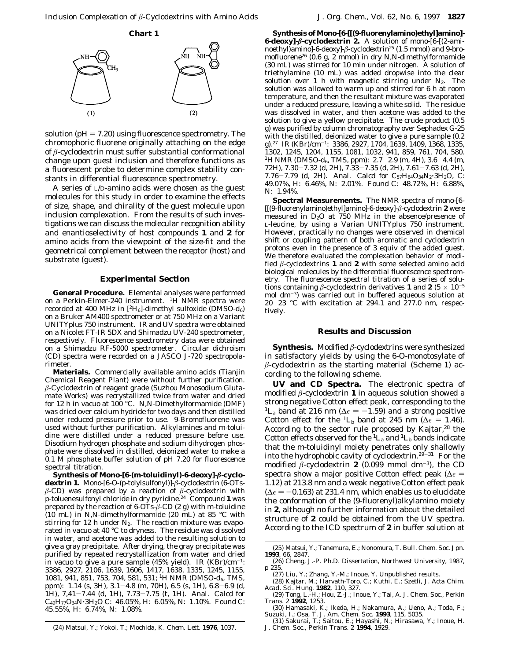

solution ( $pH = 7.20$ ) using fluorescence spectrometry. The chromophoric fluorene originally attaching on the edge of *â*-cyclodextrin must suffer substantial conformational change upon guest inclusion and therefore functions as a fluorescent probe to determine complex stability constants in differential fluorescence spectrometry.

A series of L/D-amino acids were chosen as the guest molecules for this study in order to examine the effects of size, shape, and chirality of the guest molecule upon inclusion complexation. From the results of such investigations we can discuss the molecular recognition ability and enantioselectivity of host compounds **1** and **2** for amino acids from the viewpoint of the size-fit and the geometrical complement between the receptor (host) and substrate (guest).

## **Experimental Section**

**General Procedure.** Elemental analyses were performed on a Perkin-Elmer-240 instrument. <sup>1</sup>H NMR spectra were recorded at 400 MHz in [2H6]-dimethyl sulfoxide (DMSO-*d*6) on a Bruker AM400 spectrometer or at 750 MHz on a Variant UNITYplus 750 instrument. IR and UV spectra were obtained on a Nicolet FT-IR 5DX and Shimadzu UV-240 spectrometer, respectively. Fluorescence spectrometry data were obtained on a Shimadzu RF-5000 spectrometer. Circular dichroism (CD) spectra were recorded on a JASCO J-720 spectropolarimeter.

**Materials.** Commercially available amino acids (Tianjin Chemical Reagent Plant) were without further purification. *â*-Cyclodextrin of reagent grade (Suzhou Monosodium Glutamate Works) was recrystallized twice from water and dried for 12 h in vacuo at 100 °C. *N,N*-Dimethylformamide (DMF) was dried over calcium hydride for two days and then distilled under reduced pressure prior to use. 9-Bromofluorene was used without further purification. Alkylamines and *m*-toluidine were distilled under a reduced pressure before use. Disodium hydrogen phosphate and sodium dihydrogen phosphate were dissolved in distilled, deionized water to make a 0.1 M phosphate buffer solution of pH 7.20 for fluorescence spectral titration.

**Synthesis of Mono-[6-(***m***-toluidinyl)-6-deoxy]-***â***-cyclodextrin 1.** Mono-[6-O-(*p*-tolylsulfonyl)]-*â*-cyclodextrin (6-OTs*â*-CD) was prepared by a reaction of *â*-cyclodextrin with *p*-toluenesulfonyl chloride in dry pyridine.24 Compound **1** was prepared by the reaction of 6-OTs-*â*-CD (2 g) with *m*-toluidine (10 mL) in *N,N*-dimethylformamide (20 mL) at 85 °C with stirring for 12 h under  $N_2$ . The reaction mixture was evaporated in vacuo at 40 °C to dryness. The residue was dissolved in water, and acetone was added to the resulting solution to give a gray precipitate. After drying, the gray precipitate was purified by repeated recrystallization from water and dried in vacuo to give a pure sample (45% yield). IR (KBr)/cm-1: 3386, 2927, 2106, 1639, 1606, 1417, 1638, 1335, 1245, 1155, 1081, 941, 851, 753, 704, 581, 531; 1H NMR (DMSO-*d*6, TMS, ppm): 1.14 (s, 3H), 3.1-4.8 (m, 70H), 6.5 (s, 1H), 6.8-6.9 (d, 1H), 7,41-7.44 (d, 1H), 7.73-7.75 (t, 1H). Anal. Calcd for  $C_{49}H_{77}O_{34}N \cdot 3H_2O \nC: 46.05\%, H: 6.05\%, N: 1.10\%.$  Found C: 45.55%, H: 6.74%, N: 1.08%.

**6-deoxy]-***â***-cyclodextrin 2.** A solution of mono-[6-[(2-aminoethyl)amino]-6-deoxy]-*â*-cyclodextrin25 (1.5 mmol) and 9-bromofluorene26 (0.6 g, 2 mmol) in dry *N,N*-dimethylformamide (30 mL) was stirred for 10 min under nitrogen. A solution of triethylamine (10 mL) was added dropwise into the clear solution over 1 h with magnetic stirring under  $N_2$ . The solution was allowed to warm up and stirred for 6 h at room temperature, and then the resultant mixture was evaporated under a reduced pressure, leaving a white solid. The residue was dissolved in water, and then acetone was added to the solution to give a yellow precipitate. The crude product (0.5 g) was purified by column chromatography over Sephadex G-25 with the distilled, deionized water to give a pure sample (0.2 g).27 IR (KBr)/cm-1: 3386, 2927, 1704, 1639, 1409, 1368, 1335, 1302, 1245, 1204, 1155, 1081, 1032, 941, 859, 761, 704, 580. 1H NMR (DMSO-*d*6, TMS, ppm): 2.7-2.9 (m, 4H), 3.6-4.4 (m, 72H), 7.30-7.32 (d, 2H), 7.33-7.35 (d, 2H), 7.61-7.63 (d, 2H), 7.76-7.79 (d, 2H). Anal. Calcd for  $C_{57}H_{84}O_{34}N_2.3H_2O$ , C: 49.07%, H: 6.46%, N: 2.01%. Found C: 48.72%, H: 6.88%, N: 1.94%.

**Synthesis of Mono-[6-[[(9-fluorenylamino)ethyl]amino]-**

**Spectral Measurements.** The NMR spectra of mono-[6- [[(9-fluorenylamino)ethyl]amino]-6-deoxy]-*â*-cyclodextrin **2** were measured in  $D_2O$  at 750 MHz in the absence/presence of L-leucine, by using a Varian UNITYplus 750 instrument. However, practically no changes were observed in chemical shift or coupling pattern of both aromatic and cyclodextrin protons even in the presence of 3 equiv of the added guest. We therefore evaluated the complexation behavior of modified *â*-cyclodextrins **1** and **2** with some selected amino acid biological molecules by the differential fluorescence spectrometry. The fluorescence spectral titration of a series of solutions containing  $\beta$ -cyclodextrin derivatives **1** and **2** (5  $\times$  10<sup>-5</sup> mol dm-3) was carried out in buffered aqueous solution at 20-23 °C with excitation at 294.1 and 277.0 nm, respectively.

## **Results and Discussion**

**Synthesis.** Modified *â*-cyclodextrins were synthesized in satisfactory yields by using the 6-*O*-monotosylate of  $\beta$ -cyclodextrin as the starting material (Scheme 1) according to the following scheme.

**UV and CD Spectra.** The electronic spectra of modified *â*-cyclodextrin **1** in aqueous solution showed a strong negative Cotton effect peak, corresponding to the <sup>1</sup>L<sub>a</sub> band at 216 nm ( $\Delta \epsilon = -1.59$ ) and a strong positive Cotton effect for the <sup>1</sup>L<sub>b</sub> band at 245 nm ( $\Delta \epsilon = 1.46$ ). According to the sector rule proposed by Kajtar,<sup>28</sup> the Cotton effects observed for the  ${}^{1}L_{a}$  and  ${}^{1}L_{b}$  bands indicate that the *m*-toluidinyl moiety penetrates only shallowly into the hydrophobic cavity of cyclodextrin.29-<sup>31</sup> For the modified  $\beta$ -cyclodextrin **2** (0.099 mmol dm<sup>-3</sup>), the CD spectra show a major positive Cotton effect peak ( $\Delta \epsilon$  = 1.12) at 213.8 nm and a weak negative Cotton effect peak  $(\Delta \epsilon = -0.163)$  at 231.4 nm, which enables us to elucidate the conformation of the (9-fluorenyl)alkylamino moiety in **2**, although no further information about the detailed structure of **2** could be obtained from the UV spectra. According to the ICD spectrum of **2** in buffer solution at

<sup>(25)</sup> Matsui, Y.; Tanemura, E.; Nonomura, T. *Bull*. *Chem*. *Soc*. *Jpn*. **1993**, *66*, 2847.

<sup>(26)</sup> Cheng, J.-P. Ph.D. Dissertation, Northwest University, 1987, p 235.<br>(27) Liu, Y.; Zhang, Y.-M.; Inoue, Y. Unpublished results.

<sup>(27)</sup> Liu, Y.; Zhang, Y.-M.; Inoue, Y. Unpublished results. (28) Kajtar, M.; Harvath-Toro, C.; Kuthi, E.; Szetli, J. *Acta Chim*. *Acad*. *Sci*. *Hung*. **1982**, *110*, 327.

<sup>(29)</sup> Tong, L.-H.; Hou, Z.-J.; Inoue, Y.; Tai, A. *J*. *Chem*. *Soc*.*, Perkin Trans*. *2* **1992**, 1253.

<sup>(30)</sup> Hamasaki, K.; Ikeda, H.; Nakamura, A.; Ueno, A.; Toda, F.; Suzuki, I.; Osa, T. *J*. *Am*. *Chem*. *Soc*. **1993**, *115*, 5035. (31) Sakurai, T.; Saitou, E.; Hayashi, N.; Hirasawa, Y.; Inoue, H.

<sup>(24)</sup> Matsui, Y.; Yokoi, T.; Mochida, K. *Chem*. *Lett*. **1976**, 1037.

*J*. *Chem*. *Soc*.*, Perkin Trans*. *2* **1994**, 1929.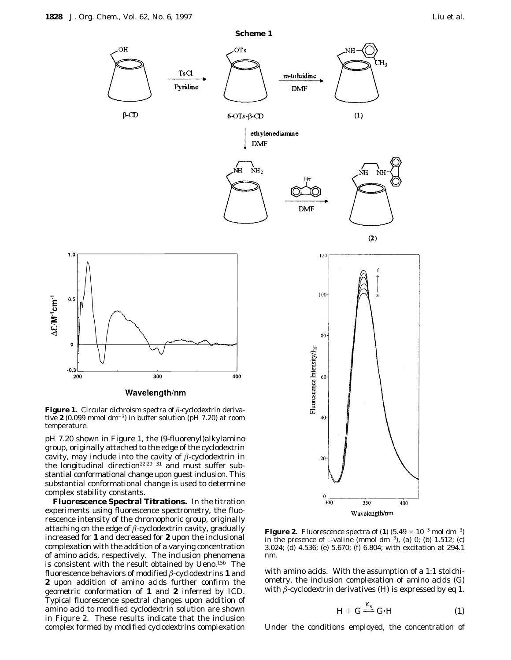

tive **2** (0.099 mmol dm-3) in buffer solution (pH 7.20) at room temperature.

pH 7.20 shown in Figure 1, the (9-fluorenyl)alkylamino group, originally attached to the edge of the cyclodextrin cavity, may include into the cavity of *â*-cyclodextrin in the longitudinal direction<sup>22,29-31</sup> and must suffer substantial conformational change upon guest inclusion. This substantial conformational change is used to determine complex stability constants.

**Fluorescence Spectral Titrations.** In the titration experiments using fluorescence spectrometry, the fluorescence intensity of the chromophoric group, originally attaching on the edge of *â*-cyclodextrin cavity, gradually increased for **1** and decreased for **2** upon the inclusional complexation with the addition of a varying concentration of amino acids, respectively. The inclusion phenomena is consistent with the result obtained by Ueno.15b The fluorescence behaviors of modified *â*-cyclodextrins **1** and **2** upon addition of amino acids further confirm the geometric conformation of **1** and **2** inferred by ICD. Typical fluorescence spectral changes upon addition of amino acid to modified cyclodextrin solution are shown in Figure 2. These results indicate that the inclusion complex formed by modified cyclodextrins complexation



350

Wavelength/nm

20

 $\mathbf 0$  $300$ 

with amino acids. With the assumption of a 1:1 stoichiometry, the inclusion complexation of amino acids (G) with  $\beta$ -cyclodextrin derivatives (H) is expressed by eq 1.

$$
H + G \stackrel{K_S}{\rightleftharpoons} G \cdot H \tag{1}
$$

400

Under the conditions employed, the concentration of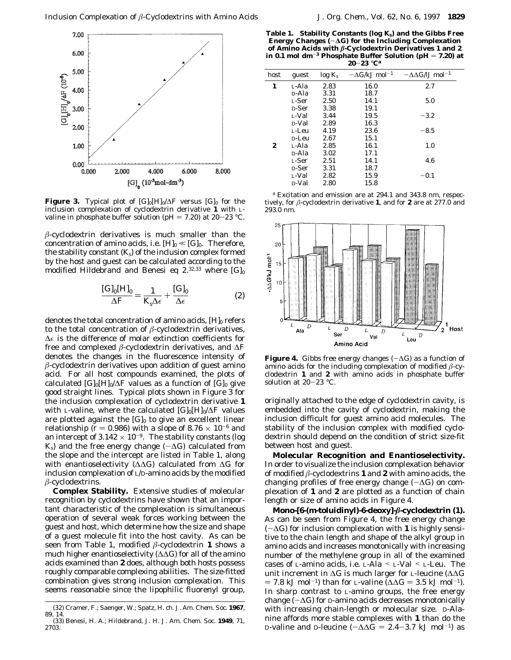

**Figure 3.** Typical plot of  $[G]_0[H]_0/\Delta F$  versus  $[G]_0$  for the inclusion complexation of cyclodextrin derivative **1** with Lvaline in phosphate buffer solution (pH = 7.20) at 20-23 °C.

*â*-cyclodextrin derivatives is much smaller than the concentration of amino acids, i.e.  $[H]_0 \ll [G]_0$ . Therefore, the stability constant  $(K<sub>s</sub>)$  of the inclusion complex formed by the host and guest can be calculated according to the modified Hildebrand and Benesi eq  $2.^{32,33}$  where  $[G]_0$ 

$$
\frac{[\text{G}]_0[\text{H}]_0}{\Delta F} = \frac{1}{K_s \Delta \epsilon} + \frac{[\text{G}]_0}{\Delta \epsilon}
$$
 (2)

denotes the total concentration of amino acids,  $[H]_0$  refers to the total concentration of *â*-cyclodextrin derivatives, ∆e is the difference of molar extinction coefficients for free and complexed *â*-cyclodextrin derivatives, and ∆*F* denotes the changes in the fluorescence intensity of *â*-cyclodextrin derivatives upon addition of guest amino acid. For all host compounds examined, the plots of calculated  $[G]_0[H]_0/\Delta F$  values as a function of  $[G]_0$  give good straight lines. Typical plots shown in Figure 3 for the inclusion complexation of cyclodextrin derivative **1** with L-valine, where the calculated [G]<sub>0</sub>[H]<sub>0</sub>/∆*F* values are plotted against the  $[G]_0$  to give an excellent linear relationship ( $r = 0.986$ ) with a slope of  $8.76 \times 10^{-6}$  and an intercept of  $3.142 \times 10^{-9}$ . The stability constants (log  $K_s$ ) and the free energy change ( $-\Delta G$ ) calculated from the slope and the intercept are listed in Table 1, along with enantioselectivity (∆∆*G*) calculated from ∆*G* for inclusion complexation of L/D-amino acids by the modified *â*-cyclodextrins.

**Complex Stability.** Extensive studies of molecular recognition by cyclodextrins have shown that an important characteristic of the complexation is simultaneous operation of several weak forces working between the guest and host, which determine how the size and shape of a guest molecule fit into the host cavity. As can be seen from Table 1, modified *â*-cyclodextrin **1** shows a much higher enantioselectivity (∆∆*G*) for all of the amino acids examined than **2** does, although both hosts possess roughly comparable complexing abilities. The size-fitted combination gives strong inclusion complexation. This seems reasonable since the lipophilic fluorenyl group,

**Table 1. Stability Constants (log** *K***s) and the Gibbs Free Energy Changes (**-**∆***G***) for the Including Complexation of Amino Acids with** *â***-Cyclodextrin Derivatives 1 and 2 in 0.1 mol dm**-**<sup>3</sup> Phosphate Buffer Solution (pH** ) **7.20) at 20**-**23** °**C***<sup>a</sup>*

| host | guest             | $log K_s$ | $-\Delta G/kJ$ mol <sup>-1</sup> | $-\Delta\Delta G/IJ$ mol <sup>-1</sup> |  |
|------|-------------------|-----------|----------------------------------|----------------------------------------|--|
| 1    | L-Ala             | 2.83      | 16.0                             | 2.7                                    |  |
|      | <sub>D-Ala</sub>  | 3.31      | 18.7                             |                                        |  |
|      | L-Ser             | 2.50      | 14.1                             | 5.0                                    |  |
|      | <sub>D</sub> -Ser | 3.38      | 19.1                             |                                        |  |
|      | L-Val             | 3.44      | 19.5                             | $-3.2$                                 |  |
|      | <sub>D</sub> -Val | 2.89      | 16.3                             |                                        |  |
|      | L-Leu             | 4.19      | 23.6                             | $-8.5$                                 |  |
|      | D-Leu             | 2.67      | 15.1                             |                                        |  |
| 2    | L-Ala             | 2.85      | 16.1                             | 1.0                                    |  |
|      | <sub>D-Ala</sub>  | 3.02      | 17.1                             |                                        |  |
|      | L-Ser             | 2.51      | 14.1                             | 4.6                                    |  |
|      | <b>D-Ser</b>      | 3.31      | 18.7                             |                                        |  |
|      | L-Val             | 2.82      | 15.9                             | $-0.1$                                 |  |
|      | D-Val             | 2.80      | 15.8                             |                                        |  |
|      |                   |           |                                  |                                        |  |

*<sup>a</sup>* Excitation and emission are at 294.1 and 343.8 nm, respectively, for *â*-cyclodextrin derivative **1**, and for **2** are at 277.0 and 293.0 nm.



**Figure 4.** Gibbs free energy changes  $(-\Delta G)$  as a function of amino acids for the including complexation of modified *â*-cyclodextrin **1** and **2** with amino acids in phosphate buffer solution at 20-23 °C.

originally attached to the edge of cyclodextrin cavity, is embedded into the cavity of cyclodextrin, making the inclusion difficult for guest amino acid molecules. The stability of the inclusion complex with modified cyclodextrin should depend on the condition of strict size-fit between host and guest.

**Molecular Recognition and Enantioselectivity.** In order to visualize the inclusion complexation behavior of modified  $\beta$ -cyclodextrins **1** and **2** with amino acids, the changing profiles of free energy change (-∆*G*) on complexation of **1** and **2** are plotted as a function of chain length or size of amino acids in Figure 4.

**Mono-[6-(***m***-toluidinyl)-6-deoxy]-***â***-cyclodextrin (1).** As can be seen from Figure 4, the free energy change (-∆*G*) for inclusion complexation with **1** is highly sensitive to the chain length and shape of the alkyl group in amino acids and increases monotonically with increasing number of the methylene group in all of the examined cases of L-amino acids, i.e. L-Ala < L-Val < L-Leu. The unit increment in ∆*G* is much larger for L-leucine (∆∆*G*  $= 7.8$  kJ mol<sup>-1</sup>) than for L-valine ( $\Delta \Delta G = 3.5$  kJ mol<sup>-1</sup>). In sharp contrast to L-amino groups, the free energy change (-∆*G*) for D-amino acids decreases monotonically with increasing chain-length or molecular size. D-Alanine affords more stable complexes with **1** than do the D-valine and D-leucine ( $-\Delta \Delta G = 2.4 - 3.7$  kJ mol<sup>-1</sup>) as

<sup>(32)</sup> Cramer, F.; Saenger, W.; Spatz, H. ch. *J*. *Am*. *Chem*. *Soc*. **1967**, *89*, 14.

<sup>(33)</sup> Benesi, H. A.; Hildebrand, J. H. *J*. *Am*. *Chem*. *Soc*. **1949**, *71*, 2703.